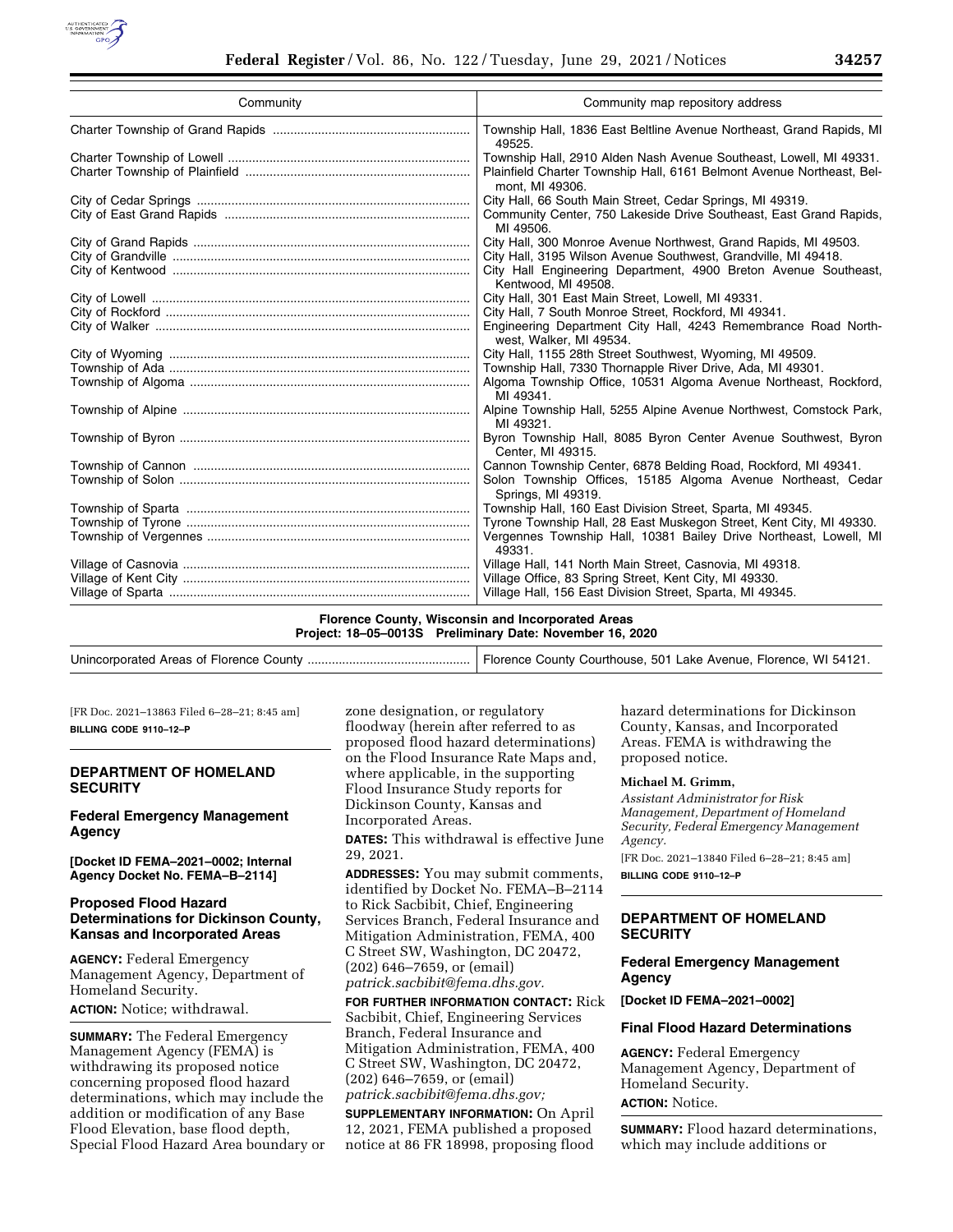

| Community | Community map repository address                                                                                                                                                                                            |
|-----------|-----------------------------------------------------------------------------------------------------------------------------------------------------------------------------------------------------------------------------|
|           | Township Hall, 1836 East Beltline Avenue Northeast, Grand Rapids, MI<br>49525.                                                                                                                                              |
|           | Township Hall, 2910 Alden Nash Avenue Southeast, Lowell, MI 49331.<br>Plainfield Charter Township Hall, 6161 Belmont Avenue Northeast, Bel-<br>mont. MI 49306.                                                              |
|           | City Hall, 66 South Main Street, Cedar Springs, MI 49319.<br>Community Center, 750 Lakeside Drive Southeast, East Grand Rapids,<br>MI 49506.                                                                                |
|           | City Hall, 300 Monroe Avenue Northwest, Grand Rapids, MI 49503.<br>City Hall, 3195 Wilson Avenue Southwest, Grandville, MI 49418.<br>City Hall Engineering Department, 4900 Breton Avenue Southeast,<br>Kentwood, MI 49508. |
|           | City Hall, 301 East Main Street, Lowell, MI 49331.<br>City Hall, 7 South Monroe Street, Rockford, MI 49341.<br>Engineering Department City Hall, 4243 Remembrance Road North-<br>west, Walker, MI 49534.                    |
|           | City Hall, 1155 28th Street Southwest, Wyoming, MI 49509.<br>Township Hall, 7330 Thornapple River Drive, Ada, MI 49301.<br>Algoma Township Office, 10531 Algoma Avenue Northeast, Rockford,<br>MI 49341.                    |
|           | Alpine Township Hall, 5255 Alpine Avenue Northwest, Comstock Park,<br>MI 49321.                                                                                                                                             |
|           | Byron Township Hall, 8085 Byron Center Avenue Southwest, Byron<br>Center, MI 49315.                                                                                                                                         |
|           | Cannon Township Center, 6878 Belding Road, Rockford, MI 49341.<br>Solon Township Offices, 15185 Algoma Avenue Northeast, Cedar<br>Springs, MI 49319.                                                                        |
|           | Township Hall, 160 East Division Street, Sparta, MI 49345.<br>Tyrone Township Hall, 28 East Muskegon Street, Kent City, MI 49330.<br>Vergennes Township Hall, 10381 Bailey Drive Northeast, Lowell, MI<br>49331.            |
|           | Village Hall, 141 North Main Street, Casnovia, MI 49318.<br>Village Office, 83 Spring Street, Kent City, MI 49330.<br>Village Hall, 156 East Division Street, Sparta, MI 49345.                                             |

**Florence County, Wisconsin and Incorporated Areas Project: 18–05–0013S Preliminary Date: November 16, 2020** 

|--|--|

[FR Doc. 2021–13863 Filed 6–28–21; 8:45 am] **BILLING CODE 9110–12–P** 

#### **DEPARTMENT OF HOMELAND SECURITY**

#### **Federal Emergency Management Agency**

**[Docket ID FEMA–2021–0002; Internal Agency Docket No. FEMA–B–2114]** 

### **Proposed Flood Hazard Determinations for Dickinson County, Kansas and Incorporated Areas**

**AGENCY:** Federal Emergency Management Agency, Department of Homeland Security. **ACTION:** Notice; withdrawal.

**SUMMARY:** The Federal Emergency Management Agency (FEMA) is withdrawing its proposed notice concerning proposed flood hazard determinations, which may include the addition or modification of any Base Flood Elevation, base flood depth, Special Flood Hazard Area boundary or zone designation, or regulatory floodway (herein after referred to as proposed flood hazard determinations) on the Flood Insurance Rate Maps and, where applicable, in the supporting Flood Insurance Study reports for Dickinson County, Kansas and Incorporated Areas.

**DATES:** This withdrawal is effective June 29, 2021.

**ADDRESSES:** You may submit comments, identified by Docket No. FEMA–B–2114 to Rick Sacbibit, Chief, Engineering Services Branch, Federal Insurance and Mitigation Administration, FEMA, 400 C Street SW, Washington, DC 20472, (202) 646–7659, or (email) *[patrick.sacbibit@fema.dhs.gov.](mailto:patrick.sacbibit@fema.dhs.gov)* 

**FOR FURTHER INFORMATION CONTACT:** Rick Sacbibit, Chief, Engineering Services Branch, Federal Insurance and Mitigation Administration, FEMA, 400 C Street SW, Washington, DC 20472, (202) 646–7659, or (email) *[patrick.sacbibit@fema.dhs.gov;](mailto:patrick.sacbibit@fema.dhs.gov)* 

**SUPPLEMENTARY INFORMATION:** On April 12, 2021, FEMA published a proposed notice at 86 FR 18998, proposing flood

hazard determinations for Dickinson County, Kansas, and Incorporated Areas. FEMA is withdrawing the proposed notice.

#### **Michael M. Grimm,**

*Assistant Administrator for Risk Management, Department of Homeland Security, Federal Emergency Management Agency.* 

[FR Doc. 2021–13840 Filed 6–28–21; 8:45 am] **BILLING CODE 9110–12–P** 

## **DEPARTMENT OF HOMELAND SECURITY**

#### **Federal Emergency Management Agency**

**[Docket ID FEMA–2021–0002]** 

### **Final Flood Hazard Determinations**

**AGENCY:** Federal Emergency Management Agency, Department of Homeland Security. **ACTION:** Notice.

**SUMMARY:** Flood hazard determinations, which may include additions or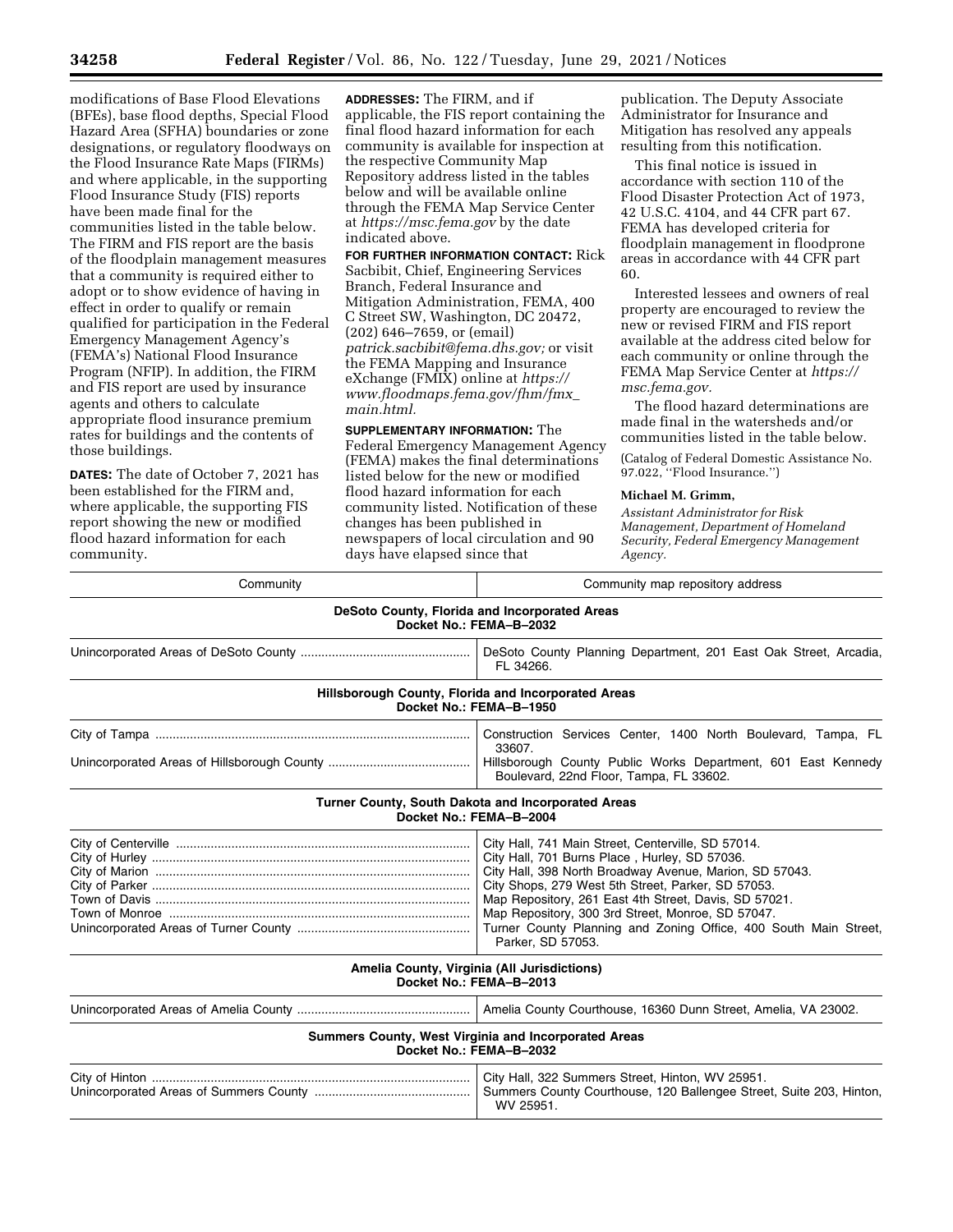modifications of Base Flood Elevations (BFEs), base flood depths, Special Flood Hazard Area (SFHA) boundaries or zone designations, or regulatory floodways on the Flood Insurance Rate Maps (FIRMs) and where applicable, in the supporting Flood Insurance Study (FIS) reports have been made final for the communities listed in the table below. The FIRM and FIS report are the basis of the floodplain management measures that a community is required either to adopt or to show evidence of having in effect in order to qualify or remain qualified for participation in the Federal Emergency Management Agency's (FEMA's) National Flood Insurance Program (NFIP). In addition, the FIRM and FIS report are used by insurance agents and others to calculate appropriate flood insurance premium rates for buildings and the contents of those buildings.

**DATES:** The date of October 7, 2021 has been established for the FIRM and, where applicable, the supporting FIS report showing the new or modified flood hazard information for each community.

**ADDRESSES:** The FIRM, and if applicable, the FIS report containing the final flood hazard information for each community is available for inspection at the respective Community Map Repository address listed in the tables below and will be available online through the FEMA Map Service Center at *<https://msc.fema.gov>*by the date indicated above.

**FOR FURTHER INFORMATION CONTACT:** Rick Sacbibit, Chief, Engineering Services Branch, Federal Insurance and Mitigation Administration, FEMA, 400 C Street SW, Washington, DC 20472, (202) 646–7659, or (email) *[patrick.sacbibit@fema.dhs.gov;](mailto:patrick.sacbibit@fema.dhs.gov)* or visit the FEMA Mapping and Insurance eXchange (FMIX) online at *[https://](https://www.floodmaps.fema.gov/fhm/fmx_main.html) [www.floodmaps.fema.gov/fhm/fmx](https://www.floodmaps.fema.gov/fhm/fmx_main.html)*\_ *[main.html.](https://www.floodmaps.fema.gov/fhm/fmx_main.html)* 

**SUPPLEMENTARY INFORMATION:** The Federal Emergency Management Agency (FEMA) makes the final determinations listed below for the new or modified flood hazard information for each community listed. Notification of these changes has been published in newspapers of local circulation and 90 days have elapsed since that

publication. The Deputy Associate Administrator for Insurance and Mitigation has resolved any appeals resulting from this notification.

This final notice is issued in accordance with section 110 of the Flood Disaster Protection Act of 1973, 42 U.S.C. 4104, and 44 CFR part 67. FEMA has developed criteria for floodplain management in floodprone areas in accordance with 44 CFR part 60.

Interested lessees and owners of real property are encouraged to review the new or revised FIRM and FIS report available at the address cited below for each community or online through the FEMA Map Service Center at *[https://](https://msc.fema.gov) [msc.fema.gov.](https://msc.fema.gov)* 

The flood hazard determinations are made final in the watersheds and/or communities listed in the table below.

(Catalog of Federal Domestic Assistance No. 97.022, ''Flood Insurance.'')

#### **Michael M. Grimm,**

*Assistant Administrator for Risk Management, Department of Homeland Security, Federal Emergency Management Agency.* 

| Community                                                                | Community map repository address                                                                                                                                                                                                                                                                                                                                                                                            |  |
|--------------------------------------------------------------------------|-----------------------------------------------------------------------------------------------------------------------------------------------------------------------------------------------------------------------------------------------------------------------------------------------------------------------------------------------------------------------------------------------------------------------------|--|
| DeSoto County, Florida and Incorporated Areas<br>Docket No.: FEMA-B-2032 |                                                                                                                                                                                                                                                                                                                                                                                                                             |  |
|                                                                          | DeSoto County Planning Department, 201 East Oak Street, Arcadia,<br>FL 34266.                                                                                                                                                                                                                                                                                                                                               |  |
|                                                                          | Hillsborough County, Florida and Incorporated Areas<br>Docket No.: FEMA-B-1950                                                                                                                                                                                                                                                                                                                                              |  |
|                                                                          | Construction Services Center, 1400 North Boulevard, Tampa, FL<br>33607.<br>Hillsborough County Public Works Department, 601 East Kennedy<br>Boulevard, 22nd Floor, Tampa, FL 33602.                                                                                                                                                                                                                                         |  |
|                                                                          | Turner County, South Dakota and Incorporated Areas<br>Docket No.: FEMA-B-2004                                                                                                                                                                                                                                                                                                                                               |  |
|                                                                          | City Hall, 741 Main Street, Centerville, SD 57014.<br>City Hall, 701 Burns Place, Hurley, SD 57036.<br>City Hall, 398 North Broadway Avenue, Marion, SD 57043.<br>City Shops, 279 West 5th Street, Parker, SD 57053.<br>Map Repository, 261 East 4th Street, Davis, SD 57021.<br>Map Repository, 300 3rd Street, Monroe, SD 57047.<br>Turner County Planning and Zoning Office, 400 South Main Street,<br>Parker, SD 57053. |  |
|                                                                          | Amelia County, Virginia (All Jurisdictions)<br>Docket No.: FEMA-B-2013                                                                                                                                                                                                                                                                                                                                                      |  |
|                                                                          | Amelia County Courthouse, 16360 Dunn Street, Amelia, VA 23002.                                                                                                                                                                                                                                                                                                                                                              |  |
|                                                                          | Summers County, West Virginia and Incorporated Areas<br>Docket No.: FEMA-B-2032                                                                                                                                                                                                                                                                                                                                             |  |
|                                                                          | City Hall, 322 Summers Street, Hinton, WV 25951.<br>Summers County Courthouse, 120 Ballengee Street, Suite 203, Hinton,<br>WV 25951.                                                                                                                                                                                                                                                                                        |  |